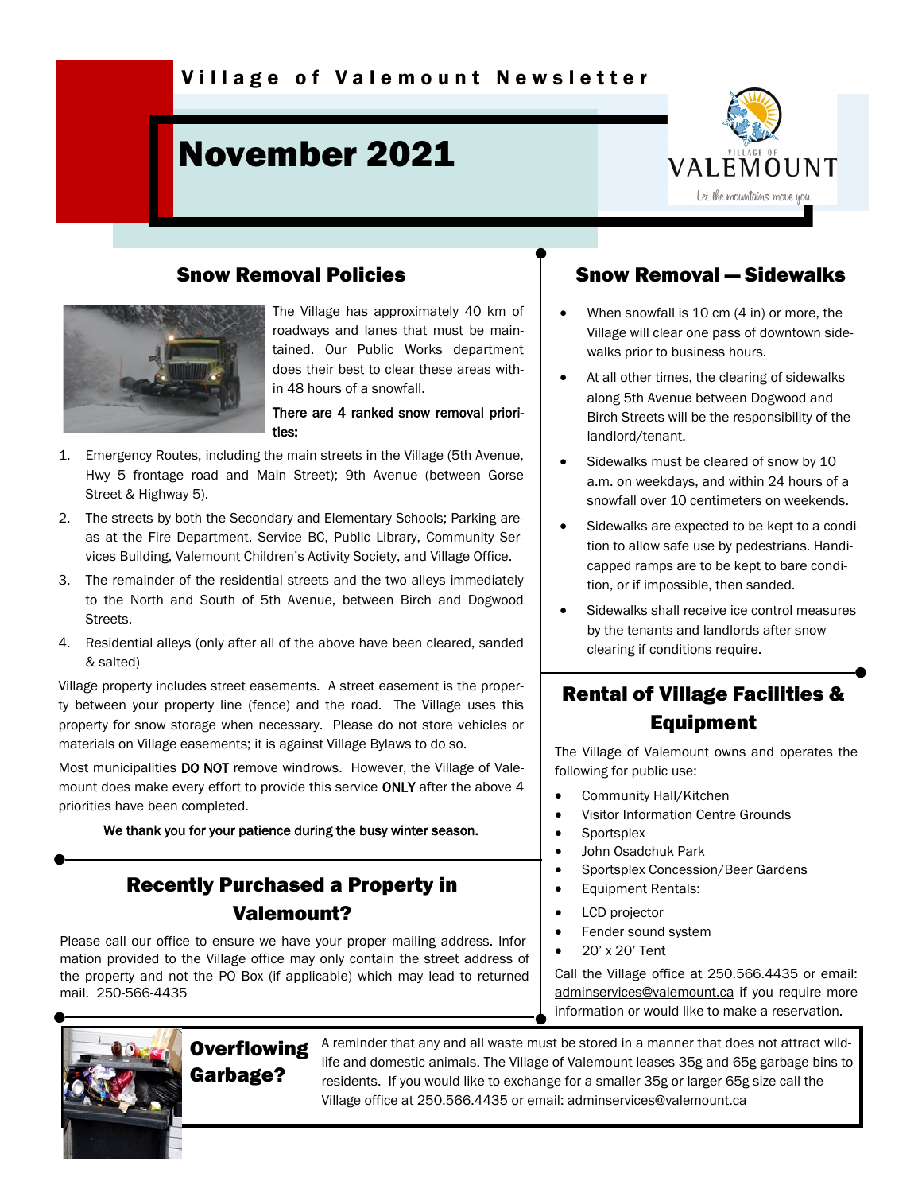# November 2021



### Snow Removal Policies



The Village has approximately 40 km of roadways and lanes that must be maintained. Our Public Works department does their best to clear these areas within 48 hours of a snowfall.

#### There are 4 ranked snow removal priorities:

- 1. Emergency Routes, including the main streets in the Village (5th Avenue, Hwy 5 frontage road and Main Street); 9th Avenue (between Gorse Street & Highway 5).
- 2. The streets by both the Secondary and Elementary Schools; Parking areas at the Fire Department, Service BC, Public Library, Community Services Building, Valemount Children's Activity Society, and Village Office.
- 3. The remainder of the residential streets and the two alleys immediately to the North and South of 5th Avenue, between Birch and Dogwood Streets.
- 4. Residential alleys (only after all of the above have been cleared, sanded & salted)

Village property includes street easements. A street easement is the property between your property line (fence) and the road. The Village uses this property for snow storage when necessary. Please do not store vehicles or materials on Village easements; it is against Village Bylaws to do so.

Most municipalities DO NOT remove windrows. However, the Village of Valemount does make every effort to provide this service ONLY after the above 4 priorities have been completed.

We thank you for your patience during the busy winter season.

## Recently Purchased a Property in Valemount?

Please call our office to ensure we have your proper mailing address. Information provided to the Village office may only contain the street address of the property and not the PO Box (if applicable) which may lead to returned mail. 250-566-4435

### Snow Removal — Sidewalks

- When snowfall is 10 cm (4 in) or more, the Village will clear one pass of downtown sidewalks prior to business hours.
- At all other times, the clearing of sidewalks along 5th Avenue between Dogwood and Birch Streets will be the responsibility of the landlord/tenant.
- Sidewalks must be cleared of snow by 10 a.m. on weekdays, and within 24 hours of a snowfall over 10 centimeters on weekends.
- Sidewalks are expected to be kept to a condition to allow safe use by pedestrians. Handicapped ramps are to be kept to bare condition, or if impossible, then sanded.
- Sidewalks shall receive ice control measures by the tenants and landlords after snow clearing if conditions require.

# Rental of Village Facilities & Equipment

The Village of Valemount owns and operates the following for public use:

- Community Hall/Kitchen
- Visitor Information Centre Grounds
- Sportsplex
- John Osadchuk Park
- Sportsplex Concession/Beer Gardens
- Equipment Rentals:
- LCD projector
- Fender sound system
- 20' x 20' Tent

Call the Village office at 250.566.4435 or email: [adminservices@valemount.ca](mailto:adminservices@valemount.ca) if you require more information or would like to make a reservation.



**Overflowing** Garbage?

A reminder that any and all waste must be stored in a manner that does not attract wildlife and domestic animals. The Village of Valemount leases 35g and 65g garbage bins to residents. If you would like to exchange for a smaller 35g or larger 65g size call the Village office at 250.566.4435 or email: adminservices@valemount.ca